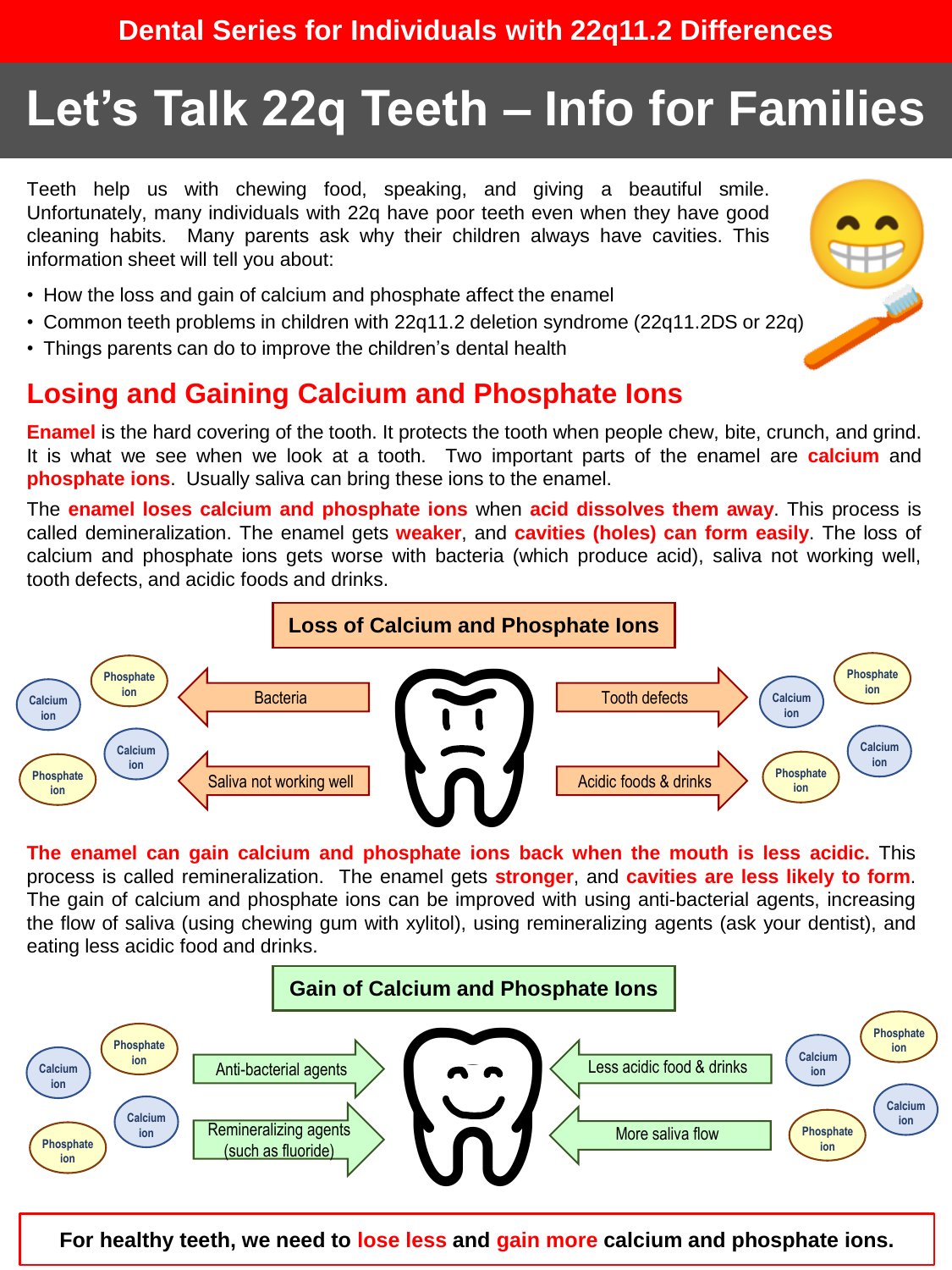# **Let's Talk 22q Teeth – Info for Families**

Teeth help us with chewing food, speaking, and giving a beautiful smile. Unfortunately, many individuals with 22q have poor teeth even when they have good cleaning habits. Many parents ask why their children always have cavities. This information sheet will tell you about:

- How the loss and gain of calcium and phosphate affect the enamel
- Common teeth problems in children with 22q11.2 deletion syndrome (22q11.2DS or 22q)
- Things parents can do to improve the children's dental health

## **Losing and Gaining Calcium and Phosphate Ions**

**Enamel** is the hard covering of the tooth. It protects the tooth when people chew, bite, crunch, and grind. It is what we see when we look at a tooth. Two important parts of the enamel are **calcium** and **phosphate ions**. Usually saliva can bring these ions to the enamel.

The **enamel loses calcium and phosphate ions** when **acid dissolves them away**. This process is called demineralization. The enamel gets **weaker**, and **cavities (holes) can form easily**. The loss of calcium and phosphate ions gets worse with bacteria (which produce acid), saliva not working well, tooth defects, and acidic foods and drinks.



**The enamel can gain calcium and phosphate ions back when the mouth is less acidic.** This process is called remineralization. The enamel gets **stronger**, and **cavities are less likely to form**. The gain of calcium and phosphate ions can be improved with using anti-bacterial agents, increasing the flow of saliva (using chewing gum with xylitol), using remineralizing agents (ask your dentist), and eating less acidic food and drinks.



**For healthy teeth, we need to lose less and gain more calcium and phosphate ions.**